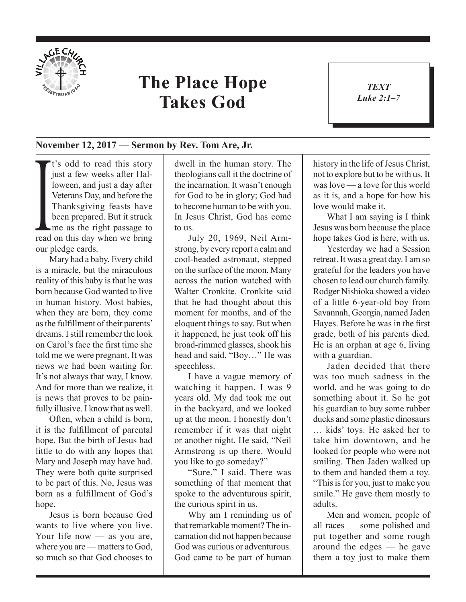

## **The Place Hope Takes God**

*TEXT Luke 2:1–7* 1

## **November 12, 2017 — Sermon by Rev. Tom Are, Jr.**

Veterans Day, and before the<br>Thanksgiving feasts have<br>been prepared. But it struck<br>me as the right passage to<br>read on this day when we bring <sup>t</sup> t's odd to read this story just a few weeks after Halloween, and just a day after Veterans Day, and before the Thanksgiving feasts have been prepared. But it struck me as the right passage to our pledge cards.

Mary had a baby. Every child is a miracle, but the miraculous reality of this baby is that he was born because God wanted to live in human history. Most babies, when they are born, they come as the fulfillment of their parents' dreams. I still remember the look on Carol's face the first time she told me we were pregnant. It was news we had been waiting for. It's not always that way, I know. And for more than we realize, it is news that proves to be painfully illusive. I know that as well.

Often, when a child is born, it is the fulfillment of parental hope. But the birth of Jesus had little to do with any hopes that Mary and Joseph may have had. They were both quite surprised to be part of this. No, Jesus was born as a fulfillment of God's hope.

Jesus is born because God wants to live where you live. Your life now — as you are, where you are — matters to God, so much so that God chooses to

dwell in the human story. The theologians call it the doctrine of the incarnation. It wasn't enough for God to be in glory; God had to become human to be with you. In Jesus Christ, God has come to us.

July 20, 1969, Neil Armstrong, by every report a calm and cool-headed astronaut, stepped on the surface of the moon. Many across the nation watched with Walter Cronkite. Cronkite said that he had thought about this moment for months, and of the eloquent things to say. But when it happened, he just took off his broad-rimmed glasses, shook his head and said, "Boy…" He was speechless.

I have a vague memory of watching it happen. I was 9 years old. My dad took me out in the backyard, and we looked up at the moon. I honestly don't remember if it was that night or another night. He said, "Neil Armstrong is up there. Would you like to go someday?"

"Sure," I said. There was something of that moment that spoke to the adventurous spirit, the curious spirit in us.

Why am I reminding us of that remarkable moment? The incarnation did not happen because God was curious or adventurous. God came to be part of human

history in the life of Jesus Christ, not to explore but to be with us. It was love — a love for this world as it is, and a hope for how his love would make it.

What I am saying is I think Jesus was born because the place hope takes God is here, with us.

Yesterday we had a Session retreat. It was a great day. I am so grateful for the leaders you have chosen to lead our church family. Rodger Nishioka showed a video of a little 6-year-old boy from Savannah, Georgia, named Jaden Hayes. Before he was in the first grade, both of his parents died. He is an orphan at age 6, living with a guardian.

Jaden decided that there was too much sadness in the world, and he was going to do something about it. So he got his guardian to buy some rubber ducks and some plastic dinosaurs … kids' toys. He asked her to take him downtown, and he looked for people who were not smiling. Then Jaden walked up to them and handed them a toy. "This is for you, just to make you smile." He gave them mostly to adults.

Men and women, people of all races — some polished and put together and some rough around the edges — he gave them a toy just to make them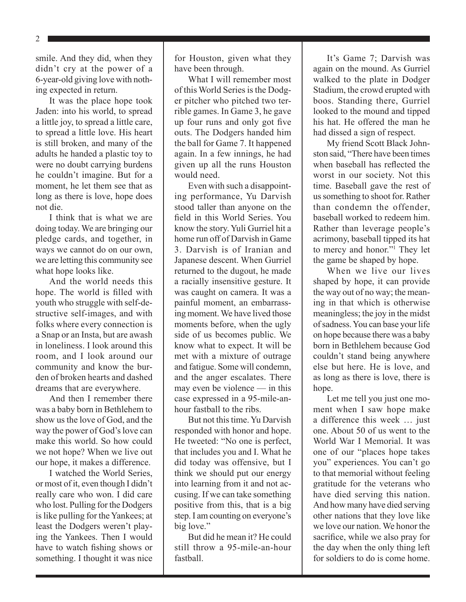2

smile. And they did, when they didn't cry at the power of a 6-year-old giving love with nothing expected in return.

It was the place hope took Jaden: into his world, to spread a little joy, to spread a little care, to spread a little love. His heart is still broken, and many of the adults he handed a plastic toy to were no doubt carrying burdens he couldn't imagine. But for a moment, he let them see that as long as there is love, hope does not die.

I think that is what we are doing today. We are bringing our pledge cards, and together, in ways we cannot do on our own, we are letting this community see what hope looks like.

And the world needs this hope. The world is filled with youth who struggle with self-destructive self-images, and with folks where every connection is a Snap or an Insta, but are awash in loneliness. I look around this room, and I look around our community and know the burden of broken hearts and dashed dreams that are everywhere.

And then I remember there was a baby born in Bethlehem to show us the love of God, and the way the power of God's love can make this world. So how could we not hope? When we live out our hope, it makes a difference.

I watched the World Series, or most of it, even though I didn't really care who won. I did care who lost. Pulling for the Dodgers is like pulling for the Yankees; at least the Dodgers weren't playing the Yankees. Then I would have to watch fishing shows or something. I thought it was nice

for Houston, given what they have been through.

What I will remember most of this World Series is the Dodger pitcher who pitched two terrible games. In Game 3, he gave up four runs and only got five outs. The Dodgers handed him the ball for Game 7. It happened again. In a few innings, he had given up all the runs Houston would need.

Even with such a disappointing performance, Yu Darvish stood taller than anyone on the field in this World Series. You know the story. Yuli Gurriel hit a home run off of Darvish in Game 3. Darvish is of Iranian and Japanese descent. When Gurriel returned to the dugout, he made a racially insensitive gesture. It was caught on camera. It was a painful moment, an embarrassing moment. We have lived those moments before, when the ugly side of us becomes public. We know what to expect. It will be met with a mixture of outrage and fatigue. Some will condemn, and the anger escalates. There may even be violence — in this case expressed in a 95-mile-anhour fastball to the ribs.

But not this time. Yu Darvish responded with honor and hope. He tweeted: "No one is perfect, that includes you and I. What he did today was offensive, but I think we should put our energy into learning from it and not accusing. If we can take something positive from this, that is a big step. I am counting on everyone's big love."

But did he mean it? He could still throw a 95-mile-an-hour fastball.

It's Game 7; Darvish was again on the mound. As Gurriel walked to the plate in Dodger Stadium, the crowd erupted with boos. Standing there, Gurriel looked to the mound and tipped his hat. He offered the man he had dissed a sign of respect.

My friend Scott Black Johnston said, "There have been times when baseball has reflected the worst in our society. Not this time. Baseball gave the rest of us something to shoot for. Rather than condemn the offender baseball worked to redeem him. Rather than leverage people's acrimony, baseball tipped its hat to mercy and honor."1 They let the game be shaped by hope.

When we live our lives shaped by hope, it can provide the way out of no way; the meaning in that which is otherwise meaningless; the joy in the midst of sadness. You can base your life on hope because there was a baby born in Bethlehem because God couldn't stand being anywhere else but here. He is love, and as long as there is love, there is hope.

Let me tell you just one moment when I saw hope make a difference this week … just one. About 50 of us went to the World War I Memorial. It was one of our "places hope takes you" experiences. You can't go to that memorial without feeling gratitude for the veterans who have died serving this nation. And how many have died serving other nations that they love like we love our nation. We honor the sacrifice, while we also pray for the day when the only thing left for soldiers to do is come home.